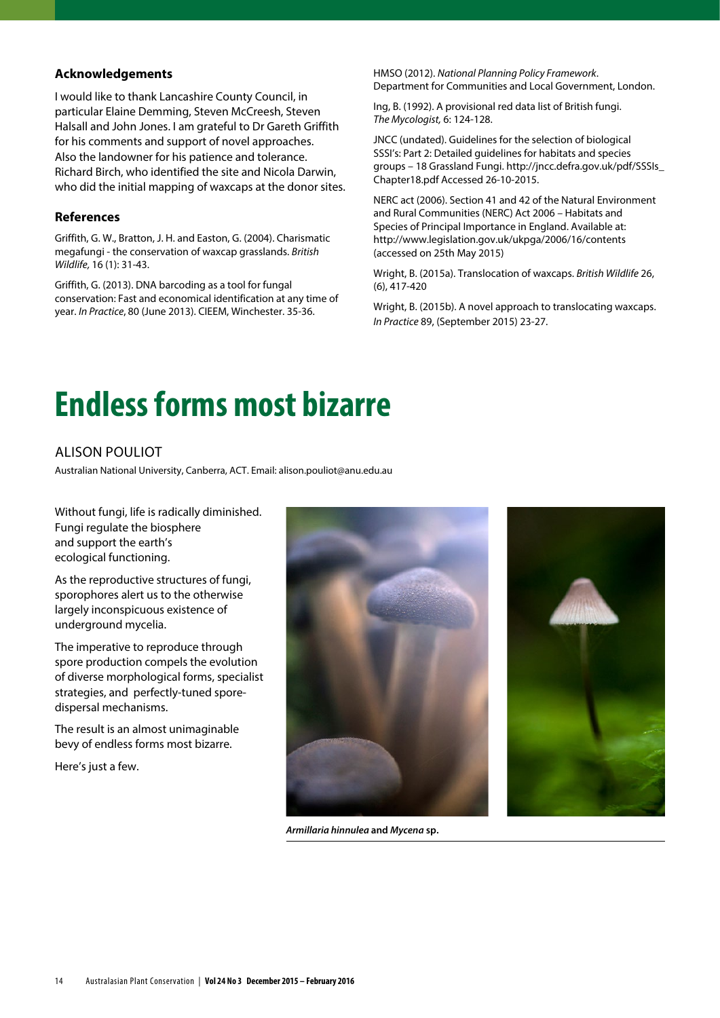## **Acknowledgements**

I would like to thank Lancashire County Council, in particular Elaine Demming, Steven McCreesh, Steven Halsall and John Jones. I am grateful to Dr Gareth Griffith for his comments and support of novel approaches. Also the landowner for his patience and tolerance. Richard Birch, who identified the site and Nicola Darwin, who did the initial mapping of waxcaps at the donor sites.

## **References**

Griffith, G. W., Bratton, J. H. and Easton, G. (2004). Charismatic megafungi - the conservation of waxcap grasslands. *British Wildlife,* 16 (1): 31-43.

Griffith, G. (2013). DNA barcoding as a tool for fungal conservation: Fast and economical identification at any time of year. *In Practice*, 80 (June 2013). CIEEM, Winchester. 35-36.

HMSO (2012). *National Planning Policy Framework*. Department for Communities and Local Government, London.

Ing, B. (1992). A provisional red data list of British fungi. *The Mycologist,* 6: 124-128.

JNCC (undated). Guidelines for the selection of biological SSSI's: Part 2: Detailed guidelines for habitats and species groups – 18 Grassland Fungi. http://jncc.defra.gov.uk/pdf/SSSIs\_ Chapter18.pdf Accessed 26-10-2015.

NERC act (2006). Section 41 and 42 of the Natural Environment and Rural Communities (NERC) Act 2006 – Habitats and Species of Principal Importance in England. Available at: http://www.legislation.gov.uk/ukpga/2006/16/contents (accessed on 25th May 2015)

Wright, B. (2015a). Translocation of waxcaps. *British Wildlife* 26, (6), 417-420

Wright, B. (2015b). A novel approach to translocating waxcaps. *In Practice* 89, (September 2015) 23-27.

## **Endless forms most bizarre**

## Alison Pouliot

Australian National University, Canberra, ACT. Email: alison.pouliot@anu.edu.au

Without fungi, life is radically diminished. Fungi regulate the biosphere and support the earth's ecological functioning.

As the reproductive structures of fungi, sporophores alert us to the otherwise largely inconspicuous existence of underground mycelia.

The imperative to reproduce through spore production compels the evolution of diverse morphological forms, specialist strategies, and perfectly-tuned sporedispersal mechanisms.

The result is an almost unimaginable bevy of endless forms most bizarre.

Here's just a few.





*Armillaria hinnulea* **and** *Mycena* **sp.**